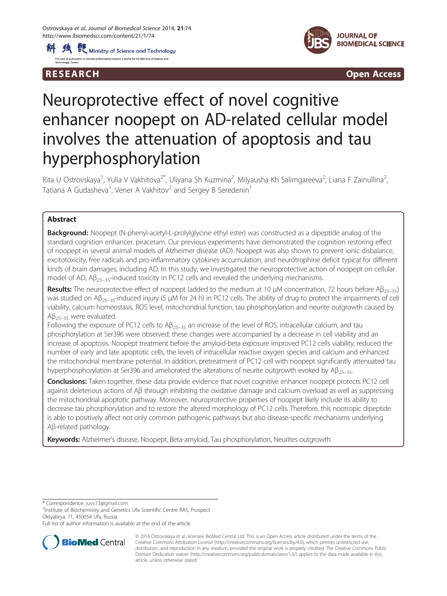



R E S EAR CH Open Access

# Neuroprotective effect of novel cognitive enhancer noopept on AD-related cellular model involves the attenuation of apoptosis and tau hyperphosphorylation

Rita U Ostrovskaya<sup>1</sup>, Yulia V Vakhitova<sup>2\*</sup>, Uliyana Sh Kuzmina<sup>2</sup>, Milyausha Kh Salimgareeva<sup>2</sup>, Liana F Zainullina<sup>2</sup> , Tatiana A Gudasheva<sup>1</sup>, Vener A Vakhitov<sup>2</sup> and Sergey B Seredenin<sup>1</sup>

# Abstract

**Background:** Noopept (N-phenyl-acetyl-L-prolylglycine ethyl ester) was constructed as a dipeptide analog of the standard cognition enhancer, piracetam. Our previous experiments have demonstrated the cognition restoring effect of noopept in several animal models of Alzheimer disease (AD). Noopept was also shown to prevent ionic disbalance, excitotoxicity, free radicals and pro-inflammatory cytokines accumulation, and neurotrophine deficit typical for different kinds of brain damages, including AD. In this study, we investigated the neuroprotective action of noopept on cellular model of AD,  $AB_{25-35}$ -induced toxicity in PC12 cells and revealed the underlying mechanisms.

Results: The neuroprotective effect of noopept (added to the medium at 10 μM concentration, 72 hours before  $AB_{25-35}$ ) was studied on Aβ<sub>25–35</sub>-induced injury (5 μM for 24 h) in PC12 cells. The ability of drug to protect the impairments of cell viability, calcium homeostasis, ROS level, mitochondrial function, tau phosphorylation and neurite outgrowth caused by  $Aβ_{25-35}$  were evaluated.

Following the exposure of PC12 cells to  $AB_{25-35}$  an increase of the level of ROS, intracellular calcium, and tau phosphorylation at Ser396 were observed; these changes were accompanied by a decrease in cell viability and an increase of apoptosis. Noopept treatment before the amyloid-beta exposure improved PC12 cells viability, reduced the number of early and late apoptotic cells, the levels of intracellular reactive oxygen species and calcium and enhanced the mitochondrial membrane potential. In addition, pretreatment of PC12 cell with noopept significantly attenuated tau hyperphosphorylation at Ser396 and ameliorated the alterations of neurite outgrowth evoked by  $AB_{25-35}$ .

Conclusions: Taken together, these data provide evidence that novel cognitive enhancer noopept protects PC12 cell against deleterious actions of Aβ through inhibiting the oxidative damage and calcium overload as well as suppressing the mitochondrial apoptotic pathway. Moreover, neuroprotective properties of noopept likely include its ability to decrease tau phosphorylation and to restore the altered morphology of PC12 cells. Therefore, this nootropic dipeptide is able to positively affect not only common pathogenic pathways but also disease-specific mechanisms underlying Aβ-related pathology.

Keywords: Alzheimer's disease, Noopept, Beta-amyloid, Tau phosphorylation, Neurites outgrowth

\* Correspondence: [juvv73@gmail.com](mailto:juvv73@gmail.com) <sup>2</sup>

<sup>2</sup>Institute of Biochemistry and Genetics Ufa Scientific Centre RAS, Prospect Oktyabrya, 71, 450054 Ufa, Russia

Full list of author information is available at the end of the article



<sup>© 2014</sup> Ostrovskaya et al.; licensee BioMed Central Ltd. This is an Open Access article distributed under the terms of the Creative Commons Attribution License (<http://creativecommons.org/licenses/by/4.0>), which permits unrestricted use, distribution, and reproduction in any medium, provided the original work is properly credited. The Creative Commons Public Domain Dedication waiver [\(http://creativecommons.org/publicdomain/zero/1.0/\)](http://creativecommons.org/publicdomain/zero/1.0/) applies to the data made available in this article, unless otherwise stated.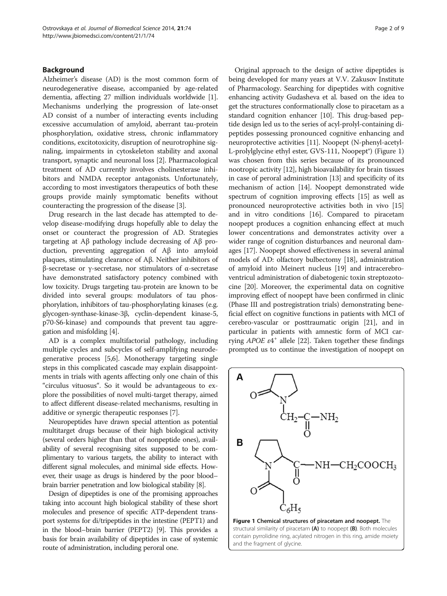#### Background

Alzheimer's disease (AD) is the most common form of neurodegenerative disease, accompanied by age-related dementia, affecting 27 million individuals worldwide [[1](#page-7-0)]. Mechanisms underlying the progression of late-onset AD consist of a number of interacting events including excessive accumulation of amyloid, aberrant tau-protein phosphorylation, oxidative stress, chronic inflammatory conditions, excitotoxicity, disruption of neurotrophine signaling, impairments in cytoskeleton stability and axonal transport, synaptic and neuronal loss [[2](#page-7-0)]. Pharmacological treatment of AD currently involves cholinesterase inhibitors and NMDA receptor antagonists. Unfortunately, according to most investigators therapeutics of both these groups provide mainly symptomatic benefits without counteracting the progression of the disease [\[3](#page-7-0)].

Drug research in the last decade has attempted to develop disease-modifying drugs hopefully able to delay the onset or counteract the progression of AD. Strategies targeting at Aβ pathology include decreasing of Aβ production, preventing aggregation of Aβ into amyloid plaques, stimulating clearance of Aβ. Neither inhibitors of β-secretase or γ-secretase, nor stimulators of α-secretase have demonstrated satisfactory potency combined with low toxicity. Drugs targeting tau-protein are known to be divided into several groups: modulators of tau phosphorylation, inhibitors of tau-phosphorylating kinases (e.g. glycogen-synthase-kinase-3β, cyclin-dependent kinase-5, p70-S6-kinase) and compounds that prevent tau aggregation and misfolding [[4\]](#page-7-0).

AD is a complex multifactorial pathology, including multiple cycles and subcycles of self-amplifying neurodegenerative process [[5,6](#page-7-0)]. Monotherapy targeting single steps in this complicated cascade may explain disappointments in trials with agents affecting only one chain of this "circulus vituosus". So it would be advantageous to explore the possibilities of novel multi-target therapy, aimed to affect different disease-related mechanisms, resulting in additive or synergic therapeutic responses [\[7](#page-7-0)].

Neuropeptides have drawn special attention as potential multitarget drugs because of their high biological activity (several orders higher than that of nonpeptide ones), availability of several recognising sites supposed to be complimentary to various targets, the ability to interact with different signal molecules, and minimal side effects. However, their usage as drugs is hindered by the poor blood– brain barrier penetration and low biological stability [[8](#page-7-0)].

Design of dipeptides is one of the promising approaches taking into account high biological stability of these short molecules and presence of specific ATP-dependent transport systems for di/tripeptides in the intestine (PEPT1) and in the blood–brain barrier (PEPT2) [[9](#page-7-0)]. This provides a basis for brain availability of dipeptides in case of systemic route of administration, including peroral one.

Original approach to the design of active dipeptides is being developed for many years at V.V. Zakusov Institute of Pharmacology. Searching for dipeptides with cognitive enhancing activity Gudasheva et al. based on the idea to get the structures conformationally close to piracetam as a standard cognition enhancer [\[10\]](#page-7-0). This drug-based peptide design led us to the series of acyl-prolyl-containing dipeptides possessing pronounced cognitive enhancing and neuroprotective activities [\[11\]](#page-7-0). Noopept (N-phenyl-acetyl-L-prolylglycine ethyl ester, GVS-111, Noopept®) (Figure 1) was chosen from this series because of its pronounced nootropic activity [\[12](#page-7-0)], high bioavailability for brain tissues in case of peroral administration [\[13\]](#page-7-0) and specificity of its mechanism of action [\[14](#page-8-0)]. Noopept demonstrated wide spectrum of cognition improving effects [\[15\]](#page-8-0) as well as pronounced neuroprotective activities both in vivo [[15](#page-8-0)] and in vitro conditions [\[16](#page-8-0)]. Compared to piracetam noopept produces a cognition enhancing effect at much lower concentrations and demonstrates activity over a wider range of cognition disturbances and neuronal damages [[17](#page-8-0)]. Noopept showed effectiveness in several animal models of AD: olfactory bulbectomy [\[18](#page-8-0)], administration of amyloid into Meinert nucleus [\[19\]](#page-8-0) and intracerebroventricul administration of diabetogenic toxin streptozotocine [[20](#page-8-0)]. Moreover, the experimental data on cognitive improving effect of noopept have been confirmed in clinic (Phase III and postregistration trials) demonstrating beneficial effect on cognitive functions in patients with MCI of cerebro-vascular or posttraumatic origin [[21\]](#page-8-0), and in particular in patients with amnestic form of MCI carrying  $APOE \epsilon 4^+$  allele [[22](#page-8-0)]. Taken together these findings prompted us to continue the investigation of noopept on

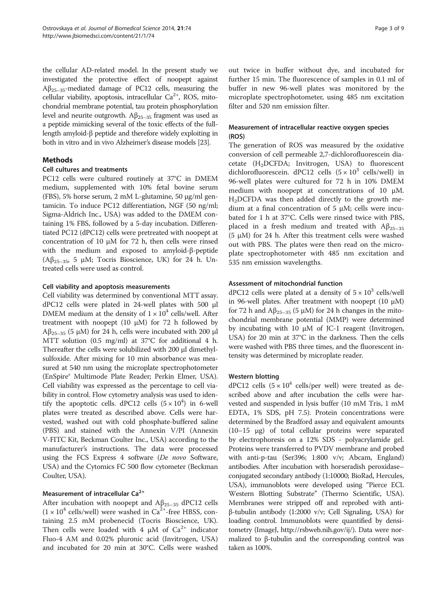the cellular AD-related model. In the present study we investigated the protective effect of noopept against Аβ25–35-mediated damage of PC12 cells, measuring the cellular viability, apoptosis, intracellular  $Ca^{2+}$ , ROS, mitochondrial membrane potential, tau protein phosphorylation level and neurite outgrowth.  $Aβ_{25-35}$  fragment was used as a peptide mimicking several of the toxic effects of the fulllength amyloid-β peptide and therefore widely exploiting in both in vitro and in vivo Alzheimer's disease models [[23\]](#page-8-0).

# Methods

#### Cell cultures and treatments

PC12 cells were cultured routinely at 37°C in DMEM medium, supplemented with 10% fetal bovine serum (FBS), 5% horse serum, 2 mM L-glutamine, 50 μg/ml gentamicin. To induce PC12 differentiation, NGF (50 ng/ml; Sigma-Aldrich Inc., USA) was added to the DMEM containing 1% FBS, followed by a 5-day incubation. Differentiated PC12 (dPC12) cells were pretreated with noopept at concentration of 10 μM for 72 h, then cells were rinsed with the medium and exposed to amyloid-β-peptide ( $A\beta_{25-35}$ , 5 μM; Tocris Bioscience, UK) for 24 h. Untreated cells were used as control.

#### Cell viability and apoptosis measurements

Cell viability was determined by conventional MTT assay. dPC12 cells were plated in 24-well plates with 500 μl DMEM medium at the density of  $1 \times 10^4$  cells/well. After treatment with noopept  $(10 \mu M)$  for 72 h followed by  $A\beta_{25-35}$  (5 μM) for 24 h, cells were incubated with 200 μl MTT solution (0.5 mg/ml) at 37°C for additional 4 h. Thereafter the cells were solubilized with 200 μl dimethylsulfoxide. After mixing for 10 min absorbance was measured at 540 nm using the microplate spectrophotometer (EnSpire® Multimode Plate Reader; Perkin Elmer, USA). Cell viability was expressed as the percentage to cell viability in control. Flow cytometry analysis was used to identify the apoptotic cells. dPC12 cells  $(5 \times 10^4)$  in 6-well plates were treated as described above. Cells were harvested, washed out with cold phosphate-buffered saline (PBS) and stained with the Annexin V/PI (Annexin V-FITC Kit, Beckman Coulter Inc., USA) according to the manufacturer's instructions. The data were processed using the FCS Express 4 software (De novo Software, USA) and the Cytomics FC 500 flow cytometer (Beckman Coulter, USA).

## Measurement of intracellular Ca<sup>2+</sup>

After incubation with noopept and  $A\beta_{25-35}$  dPC12 cells  $(1 \times 10^4 \text{ cells/well})$  were washed in Ca<sup>2+</sup>-free HBSS, containing 2.5 mM probenecid (Tocris Bioscience, UK). Then cells were loaded with 4  $\mu$ M of Ca<sup>2+</sup> indicator Fluo-4 AM and 0.02% pluronic acid (Invitrogen, USA) and incubated for 20 min at 30°C. Cells were washed out twice in buffer without dye, and incubated for further 15 min. The fluorescence of samples in 0.1 ml of buffer in new 96-well plates was monitored by the microplate spectrophotometer, using 485 nm excitation filter and 520 nm emission filter.

# Measurement of intracellular reactive oxygen species (ROS)

The generation of ROS was measured by the oxidative conversion of cell permeable 2,7-dichlorofluorescein diacetate (H2DCFDA; Invitrogen, USA) to fluorescent dichlorofluorescein. dPC12 cells  $(5 \times 10^3 \text{ cells/well})$  in 96-well plates were cultured for 72 h in 10% DMEM medium with noopept at concentrations of 10 μM.  $H<sub>2</sub>DCFDA$  was then added directly to the growth medium at a final concentration of 5 μM; cells were incubated for 1 h at 37°C. Cells were rinsed twice with PBS, placed in a fresh medium and treated with  $A\beta_{25-35}$ (5  $\mu$ M) for 24 h. After this treatment cells were washed out with PBS. The plates were then read on the microplate spectrophotometer with 485 nm excitation and 535 nm emission wavelengths.

# Assessment of mitochondrial function

dPC12 cells were plated at a density of  $5 \times 10^3$  cells/well in 96-well plates. After treatment with noopept  $(10 \mu M)$ for 72 h and  $\text{A}\beta_{25-35}$  (5  $\mu$ M) for 24 h changes in the mitochondrial membrane potential (MMP) were determined by incubating with 10 μM of JC-1 reagent (Invitrogen, USA) for 20 min at 37°C in the darkness. Then the cells were washed with PBS three times, and the fluorescent intensity was determined by microplate reader.

#### Western blotting

dPC12 cells  $(5 \times 10^4$  cells/per well) were treated as described above and after incubation the cells were harvested and suspended in lysis buffer (10 mM Tris, 1 mM EDTA, 1% SDS, pH 7.5). Protein concentrations were determined by the Bradford assay and equivalent amounts (10–15 μg) of total cellular proteins were separated by electrophoresis on a 12% SDS - polyacrylamide gel. Proteins were transferred to PVDV membrane and probed with anti-p-tau (Ser396; 1:800 v/v; Abcam, England) antibodies. After incubation with horseradish peroxidase– conjugated secondary antibody (1:10000; BioRad, Hercules, USA), immunoblots were developed using "Pierce ECL Western Blotting Substrate" (Thermo Scientific, USA). Membranes were stripped off and reprobed with antiβ-tubulin antibody (1:2000 v/v; Cell Signaling, USA) for loading control. Immunoblots were quantified by densitometry (ImageJ, [http://rsbweb.nih.gov/ij/\)](http://rsbweb.nih.gov/ij/). Data were normalized to β-tubulin and the corresponding control was taken as 100%.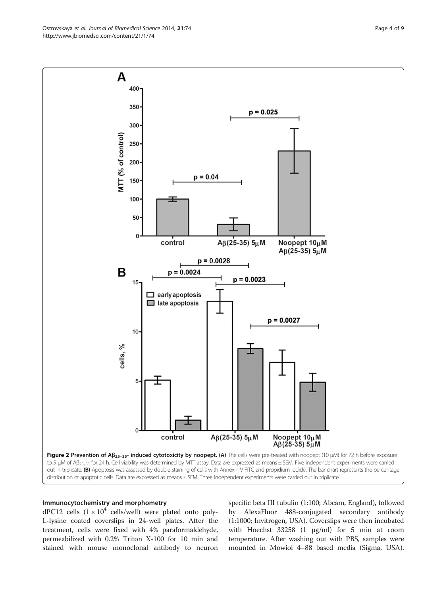<span id="page-3-0"></span>Ostrovskaya et al. Journal of Biomedical Science 2014, 21:74 Page 4 of 9 http://www.jbiomedsci.com/content/21/1/74



#### Immunocytochemistry and morphometry

dPC12 cells  $(1 \times 10^4 \text{ cells/well})$  were plated onto poly-L-lysine coated coverslips in 24-well plates. After the treatment, cells were fixed with 4% paraformaldehyde, permeabilized with 0.2% Triton X-100 for 10 min and stained with mouse monoclonal antibody to neuron

specific beta III tubulin (1:100; Abcam, England), followed by AlexaFluor 488-conjugated secondary antibody (1:1000; Invitrogen, USA). Coverslips were then incubated with Hoechst  $33258$  (1  $\mu$ g/ml) for 5 min at room temperature. After washing out with PBS, samples were mounted in Mowiol 4–88 based media (Sigma, USA).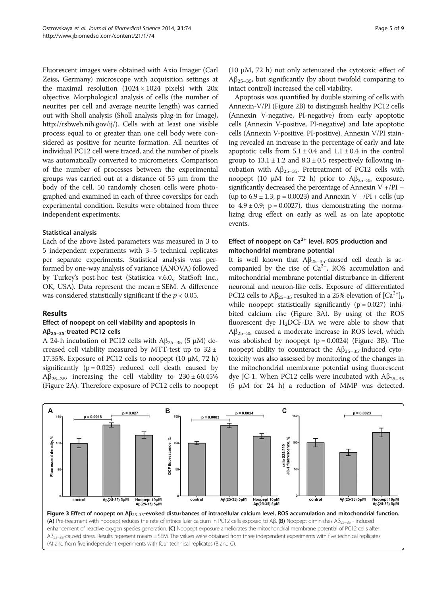<span id="page-4-0"></span>Fluorescent images were obtained with Axio Imager (Carl Zeiss, Germany) microscope with acquisition settings at the maximal resolution  $(1024 \times 1024$  pixels) with  $20x$ objective. Morphological analysis of cells (the number of neurites per cell and average neurite length) was carried out with Sholl analysis (Sholl analysis plug-in for ImageJ, [http://rsbweb.nih.gov/ij/\)](http://rsbweb.nih.gov/ij/). Cells with at least one visible process equal to or greater than one cell body were considered as positive for neurite formation. All neurites of individual PC12 cell were traced, and the number of pixels was automatically converted to micrometers. Comparison of the number of processes between the experimental groups was carried out at a distance of 55 μm from the body of the cell. 50 randomly chosen cells were photographed and examined in each of three coverslips for each experimental condition. Results were obtained from three independent experiments.

#### Statistical analysis

Each of the above listed parameters was measured in 3 to 5 independent experiments with 3–5 technical replicates per separate experiments. Statistical analysis was performed by one-way analysis of variance (ANOVA) followed by Turkey's post-hoc test (Statistica v.6.0., StatSoft Inc., OK, USA). Data represent the mean ± SEM. A difference was considered statistically significant if the  $p < 0.05$ .

### Results

# Effect of noopept on cell viability and apoptosis in Aβ25–35-treated PC12 cells

A 24-h incubation of PC12 cells with  $\text{A}\beta_{25-35}$  (5 μM) decreased cell viability measured by MTT-test up to  $32 \pm$ 17.35%. Exposure of PC12 cells to noopept (10 μM, 72 h) significantly  $(p = 0.025)$  reduced cell death caused by Aβ<sub>25–35</sub>, increasing the cell viability to  $230 \pm 60.45\%$ (Figure [2](#page-3-0)A). Therefore exposure of PC12 cells to noopept

(10 μM, 72 h) not only attenuated the cytotoxic effect of  $\text{A}\beta_{25-35}$ , but significantly (by about twofold comparing to intact control) increased the cell viability.

Apoptosis was quantified by double staining of cells with Annexin-V/PI (Figure [2](#page-3-0)B) to distinguish healthy PC12 cells (Annexin V-negative, PI-negative) from early apoptotic cells (Annexin V-positive, PI-negative) and late apoptotic cells (Annexin V-positive, PI-positive). Annexin V/PI staining revealed an increase in the percentage of early and late apoptotic cells from  $5.1 \pm 0.4$  and  $1.1 \pm 0.4$  in the control group to  $13.1 \pm 1.2$  and  $8.3 \pm 0.5$  respectively following incubation with  $Aβ_{25-35}$ . Pretreatment of PC12 cells with noopept (10 μM for 72 h) prior to  $\text{A}\beta_{25-35}$  exposure, significantly decreased the percentage of Annexin  $V + /PI -$ (up to  $6.9 \pm 1.3$ ; p = 0.0023) and Annexin V +/PI + cells (up to  $4.9 \pm 0.9$ ;  $p = 0.0027$ ), thus demonstrating the normalizing drug effect on early as well as on late apoptotic events.

# Effect of noopept on  $Ca^{2+}$  level, ROS production and mitochondrial membrane potential

It is well known that  $A\beta_{25-35}$ -caused cell death is accompanied by the rise of  $Ca^{2+}$ , ROS accumulation and mitochondrial membrane potential disturbance in different neuronal and neuron-like cells. Exposure of differentiated PC12 cells to A $\beta_{25-35}$  resulted in a 25% elevation of  $\lbrack Ca^{2+}\rbrack_{L}$ while noopept statistically significantly  $(p = 0.027)$  inhibited calcium rise (Figure 3A). By using of the ROS fluorescent dye  $H<sub>2</sub> DCF-DA$  we were able to show that  $Aβ_{25-35}$  caused a moderate increase in ROS level, which was abolished by noopept  $(p = 0.0024)$  (Figure 3B). The noopept ability to counteract the  $A\beta_{25-35}$ -induced cytotoxicity was also assessed by monitoring of the changes in the mitochondrial membrane potential using fluorescent dye JC-1. When PC12 cells were incubated with  $A\beta_{25-35}$ (5 μM for 24 h) a reduction of MMP was detected.

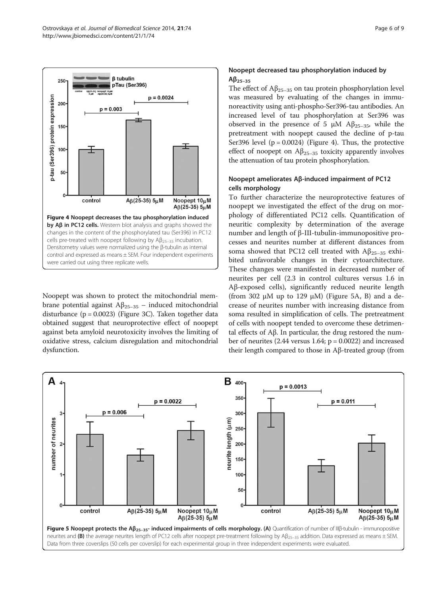<span id="page-5-0"></span>

Noopept was shown to protect the mitochondrial membrane potential against  $Aβ_{25-35}$  – induced mitochondrial disturbance ( $p = 0.0023$ ) (Figure [3C](#page-4-0)). Taken together data obtained suggest that neuroprotective effect of noopept against beta amyloid neurotoxicity involves the limiting of oxidative stress, calcium disregulation and mitochondrial dysfunction.

# Noopept decreased tau phosphorylation induced by  $Aβ$ <sub>25-35</sub>

The effect of  $A\beta_{25-35}$  on tau protein phosphorylation level was measured by evaluating of the changes in immunoreactivity using anti-phospho-Ser396-tau antibodies. An increased level of tau phosphorylation at Ser396 was observed in the presence of 5 μM  $\text{A}\beta_{25-35}$ , while the pretreatment with noopept caused the decline of p-tau Ser396 level  $(p = 0.0024)$  (Figure 4). Thus, the protective effect of noopept on  $\mathcal{A}\beta_{25-35}$  toxicity apparently involves the attenuation of tau protein phosphorylation.

# Noopept ameliorates Aβ-induced impairment of PC12 cells morphology

To further characterize the neuroprotective features of noopept we investigated the effect of the drug on morphology of differentiated PC12 cells. Quantification of neuritic complexity by determination of the average number and length of β-III-tubulin-immunopositive processes and neurites number at different distances from soma showed that PC12 cell treated with  $Aβ_{25-35}$  exhibited unfavorable changes in their cytoarchitecture. These changes were manifested in decreased number of neurites per cell (2.3 in control cultures versus 1.6 in Aβ-exposed cells), significantly reduced neurite length (from 302  $\mu$ M up to 129  $\mu$ M) (Figure 5A, B) and a decrease of neurites number with increasing distance from soma resulted in simplification of cells. The pretreatment of cells with noopept tended to overcome these detrimental effects of Aβ. In particular, the drug restored the number of neurites  $(2.44 \text{ versus } 1.64; \text{ p} = 0.0022)$  and increased their length compared to those in Aβ-treated group (from

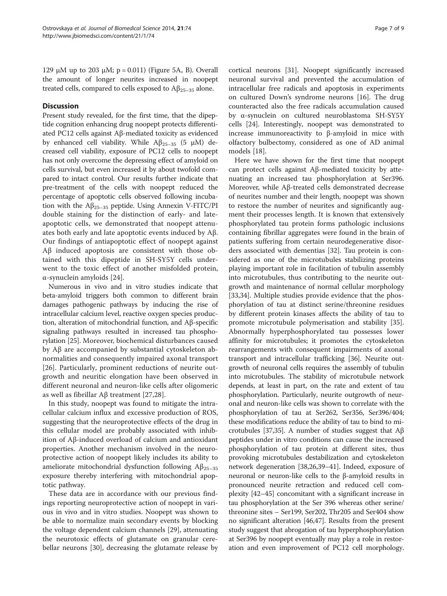129 μM up to 203 μM;  $p = 0.011$ ) (Figure [5](#page-5-0)A, B). Overall the amount of longer neurites increased in noopept treated cells, compared to cells exposed to  $A\beta_{25-35}$  alone.

### **Discussion**

Present study revealed, for the first time, that the dipeptide cognition enhancing drug noopept protects differentiated PC12 cells against Aβ-mediated toxicity as evidenced by enhanced cell viability. While  $A\beta_{25-35}$  (5 μM) decreased cell viability, exposure of PC12 cells to noopept has not only overcome the depressing effect of amyloid on cells survival, but even increased it by about twofold compared to intact control. Our results further indicate that pre-treatment of the cells with noopept reduced the percentage of apoptotic cells observed following incubation with the  $A\beta_{25-35}$  peptide. Using Annexin V-FITC/PI double staining for the distinction of early- and lateapoptotic cells, we demonstrated that noopept attenuates both early and late apoptotic events induced by Aβ. Our findings of antiapoptotic effect of noopept against Aβ induced apoptosis are consistent with those obtained with this dipeptide in SH-SY5Y cells underwent to the toxic effect of another misfolded protein, α-synuclein amyloids [\[24](#page-8-0)].

Numerous in vivo and in vitro studies indicate that beta-amyloid triggers both common to different brain damages pathogenic pathways by inducing the rise of intracellular calcium level, reactive oxygen species production, alteration of mitochondrial function, and Aβ-specific signaling pathways resulted in increased tau phosphorylation [\[25\]](#page-8-0). Moreover, biochemical disturbances caused by Aβ are accompanied by substantial cytoskeleton abnormalities and consequently impaired axonal transport [[26\]](#page-8-0). Particularly, prominent reductions of neurite outgrowth and neuritic elongation have been observed in different neuronal and neuron-like cells after oligomeric as well as fibrillar Aβ treatment [\[27](#page-8-0),[28\]](#page-8-0).

In this study, noopept was found to mitigate the intracellular calcium influx and excessive production of ROS, suggesting that the neuroprotective effects of the drug in this cellular model are probably associated with inhibition of Aβ-induced overload of calcium and antioxidant properties. Another mechanism involved in the neuroprotective action of noopept likely includes its ability to ameliorate mitochondrial dysfunction following  $Aβ_{25-35}$ exposure thereby interfering with mitochondrial apoptotic pathway.

These data are in accordance with our previous findings reporting neuroprotective action of noopept in various in vivo and in vitro studies. Noopept was shown to be able to normalize main secondary events by blocking the voltage dependent calcium channels [\[29](#page-8-0)], attenuating the neurotoxic effects of glutamate on granular cerebellar neurons [\[30\]](#page-8-0), decreasing the glutamate release by

cortical neurons [[31\]](#page-8-0). Noopept significantly increased neuronal survival and prevented the accumulation of intracellular free radicals and apoptosis in experiments on cultured Down's syndrome neurons [[16\]](#page-8-0). The drug counteracted also the free radicals accumulation caused by α-synuclein on cultured neuroblastoma SH-SY5Y cells [[24\]](#page-8-0). Interestingly, noopept was demonstrated to increase immunoreactivity to β-amyloid in mice with olfactory bulbectomy, considered as one of AD animal models [\[18\]](#page-8-0).

Here we have shown for the first time that noopept can protect cells against Aβ-mediated toxicity by attenuating an increased tau phosphorylation at Ser396. Moreover, while Aβ-treated cells demonstrated decrease of neurites number and their length, noopept was shown to restore the number of neurites and significantly augment their processes length. It is known that extensively phosphorylated tau protein forms pathologic inclusions containing fibrillar aggregates were found in the brain of patients suffering from certain neurodegenerative disorders associated with dementias [[32\]](#page-8-0). Tau protein is considered as one of the microtubules stabilizing proteins playing important role in facilitation of tubulin assembly into microtubules, thus contributing to the neurite outgrowth and maintenance of normal cellular morphology [[33,34\]](#page-8-0). Multiple studies provide evidence that the phosphorylation of tau at distinct serine/threonine residues by different protein kinases affects the ability of tau to promote microtubule polymerisation and stability [\[35](#page-8-0)]. Abnormally hyperphosphorylated tau possesses lower affinity for microtubules; it promotes the cytoskeleton rearrangements with consequent impairments of axonal transport and intracellular trafficking [\[36\]](#page-8-0). Neurite outgrowth of neuronal cells requires the assembly of tubulin into microtubules. The stability of microtubule network depends, at least in part, on the rate and extent of tau phosphorylation. Particularly, neurite outgrowth of neuronal and neuron-like cells was shown to correlate with the phosphorylation of tau at Ser262, Ser356, Ser396/404; these modifications reduce the ability of tau to bind to microtubules [[37,35](#page-8-0)]. A number of studies suggest that Aβ peptides under in vitro conditions can cause the increased phosphorylation of tau protein at different sites, thus provoking microtubules destabilization and cytoskeleton network degeneration [\[38,26](#page-8-0),[39](#page-8-0)–[41\]](#page-8-0). Indeed, exposure of neuronal or neuron-like cells to the β-amyloid results in pronounced neurite retraction and reduced cell complexity [\[42](#page-8-0)–[45\]](#page-8-0) concomitant with a significant increase in tau phosphorylation at the Ser 396 whereas other serine/ threonine sites – Ser199, Ser202, Thr205 and Ser404 show no significant alteration [[46,47\]](#page-8-0). Results from the present study suggest that abrogation of tau hyperphosphorylation at Ser396 by noopept eventually may play a role in restoration and even improvement of PC12 cell morphology.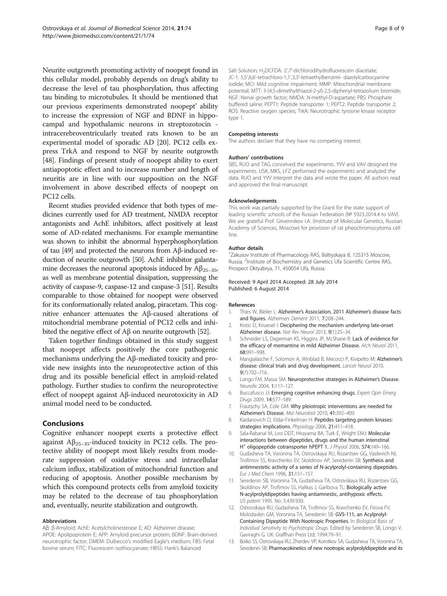<span id="page-7-0"></span>Neurite outgrowth promoting activity of noopept found in this cellular model, probably depends on drug's ability to decrease the level of tau phosphorylation, thus affecting tau binding to microtubules. It should be mentioned that our previous experiments demonstrated noopept' ability to increase the expression of NGF and BDNF in hippocampal and hypothalamic neurons in streptozotocin intracerebroventricularly treated rats known to be an experimental model of sporadic AD [\[20\]](#page-8-0). PC12 cells express TrkA and respond to NGF by neurite outgrowth [[48](#page-8-0)]. Findings of present study of noopept ability to exert antiapoptotic effect and to increase number and length of neuritis are in line with our supposition on the NGF involvement in above described effects of noopept on PC12 cells.

Recent studies provided evidence that both types of medicines currently used for AD treatment, NMDA receptor antagonists and AchE inhibitors, affect positively at least some of AD-related mechanisms. For example memantine was shown to inhibit the abnormal hyperphosphorylation of tau [\[49\]](#page-8-0) and protected the neurons from Aβ-induced reduction of neurite outgrowth [\[50\]](#page-8-0). AchE inhibitor galantamine decreases the neuronal apoptosis induced by  $A\beta_{25-35}$ , as well as membrane potential dissipation, suppressing the activity of caspase-9, caspase-12 and caspase-3 [\[51\]](#page-8-0). Results comparable to those obtained for noopept were observed for its conformationally related analog, piracetam. This cognitive enhancer attenuates the Aβ-caused alterations of mitochondrial membrane potential of PC12 cells and inhibited the negative effect of Aβ on neurite outgrowth [\[52\]](#page-8-0).

Taken together findings obtained in this study suggest that noopept affects positively the core pathogenic mechanisms underlying the Aβ-mediated toxicity and provide new insights into the neuroprotective action of this drug and its possible beneficial effect in amyloid-related pathology. Further studies to confirm the neuroprotective effect of noopept against Aβ-induced neurotoxicity in AD animal model need to be conducted.

### Conclusions

Cognitive enhancer noopept exerts a protective effect against  $\mathsf{A}\beta_{25-35}$ -induced toxicity in PC12 cells. The protective ability of noopept most likely results from moderate suppression of oxidative stress and intracellular calcium influx, stabilization of mitochondrial function and reducing of apoptosis. Another possible mechanism by which this compound protects cells from amyloid toxicity may be related to the decrease of tau phosphorylation and, eventually, neurite stabilization and outgrowth.

#### Abbreviations

Aβ: β-Amyloid; AchE: Acetylcholinesterase E; AD: Alzheimer disease; APOE: Apolipoprotein E; APP: Amyloid precursor protein; BDNF: Brain-derived neurotrophic factor; DMEM: Dulbecco's modified Eagle's medium; FBS: Fetal bovine serum; FITC: Fluorescein isothiocyanate; HBSS: Hank's Balanced

Salt Solution; H<sub>2</sub>DCFDA: 2',7'-dichlorodihydrofluorescein diacetate; JC-1: 5,5',6,6'-tetrachloro-1,1',3,3'-tetraethylbenzimi- dazolylcarbocyanine iodide; MCI: Mild cognitive impairment; MMP: Mitochondrial membrane potential; MTT: 3-(4,5-dimethylthiazol-2-yl)-2,5-diphenyl-tetrazolium bromide; NGF: Nerve growth factor; NMDA: N-methyl-D-aspartate; PBS: Phosphate buffered saline; PEPT1: Peptide transporter 1; PEPT2: Peptide transporter 2; ROS: Reactive oxygen species; TrkA: Neurotrophic tyrosine kinase receptor type 1.

#### Competing interests

The authors declare that they have no competing interest.

#### Authors' contributions

SBS, RUO and TAG conceived the experiments. YVV and VAV designed the experiments. USK, MKS, LFZ performed the experiments and analyzed the data. RUO and YVV interpret the data and wrote the paper. All authors read and approved the final manuscript.

#### Acknowledgements

This work was partially supported by the Grant for the state support of leading scientific schools of the Russian Federation (№ 5923.2014.4 to VAV). We are grateful Prof. Grivennikov I.A. (Institute of Molecular Genetics, Russian Academy of Sciences, Moscow) for provision of rat pheochromocytoma cell line.

#### Author details

1 Zakusov Institute of Pharmacology RAS, Baltiyskaya 8, 125315 Moscow, Russia. <sup>2</sup>Institute of Biochemistry and Genetics Ufa Scientific Centre RAS Prospect Oktyabrya, 71, 450054 Ufa, Russia.

#### Received: 9 April 2014 Accepted: 28 July 2014 Published: 6 August 2014

#### References

- 1. Thies W, Bleiler L: Alzheimer's Association, 2011 Alzheimer's disease facts and figures. Alzheimers Dement 2011, 7:208–244.
- 2. Krstic D, Knuesel I: Deciphering the mechanism underlying late-onset Alzheimer disease. Nat Rev Neurol 2013, 9(1):25–34.
- 3. Schneider LS, Dagerman KS, Higgins JP, McShane R: Lack of evidence for the efficacy of memantine in mild Alzheimer Disease. Arch Neurol 2011, 68:991–998.
- 4. Mangialasche F, Solomon A, Winblad B, Mecocci P, Kivipelto M: Alzheimer's disease: clinical trials and drug development. Lancet Neurol 2010, 9(7):702–716.
- 5. Longo FM, Massa SM: Neuroprotective strategies in Alzheimer's Disease. NeuroRx 2004, 1:117–127.
- 6. Buccafusco JJ: Emerging cognitive enhancing drugs. Expert Opin Emerg Drugs 2009, 14:577–589.
- 7. Frautschy SA, Cole GM: Why pleiotropic interventions are needed for Alzheimer's Disease. Mol Neurobiol 2010, 41:392–409.
- 8. Kaidanovich O, Eldar-Finkelman H: Peptides targeting protein kinases: strategies implications. Physiology 2006, 21:411-418.
- 9. Sala-Rabanai M, Loo DDT, Hirayama BA, Turk E, Wright EMJ: Molecular interactions between dipeptides, drugs and the human intenstinal H<sup>+</sup> oligopeptide cotransporter hPEPT 1. J Physiol 2006, 574:149-166.
- 10. Gudasheva TA, Voronina TA, Ostrovskaya RU, Rozantsev GG, Vasilevich NI, Trofimov SS, Kravchenko EV, Skoldinov AP, Seredenin SB: Synthesis and antimnestetic activity of a series of N-acylprolyl-containing dipeptides. Eur J Med Chem 1996, 31:151–157.
- 11. Seredenin SB, Voronina TA, Gudasheva TA, Ostrovskaya RU, Rozantsev GG, Skoldinov AP, Trofimov SS, Halikas J, Garibova TL: Biologically active N-acylprolyldipeptides having antiamnestic, antihypoxic effects. US patent 1995. No. 5.439.930.
- 12. Ostrovskaya RU, Gudasheva TA, Trofimov SS, Kravchenko EV, Firova FV, Molodavkin GM, Voronina TA, Seredenin SB: GVS-111, an Acylprolyl-Containing Dipeptide With Nootropic Properties. In Biological Basis of Individual Sensitivity to Psychotropic Drugs. Edited by Seredenin SB, Longo V, Gaviraghi G. UK: Graffhan Press Ltd; 1994:79–91.
- 13. Boiko SS, Ostrovskaya RU, Zherdev VP, Korotkov SA, Gudasheva TA, Voronina TA, Seredenin SB: Pharmacokinetics of new nootropic acylprolyldipeptide and its